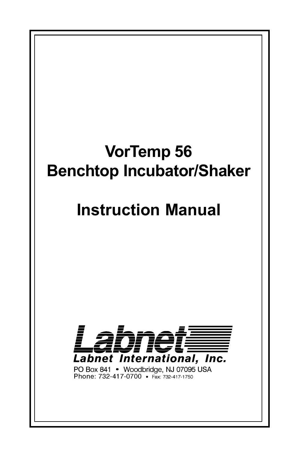# **VorTemp 56 Benchtop Incubator/Shaker**

# **Instruction Manual**



PO Box 841 • Woodbridge, NJ 07095 USA<br>Phone: 732-417-0700 • Fax: 732-417-1750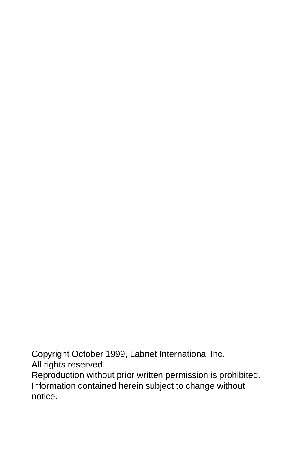Copyright October 1999, Labnet International Inc. All rights reserved.

Reproduction without prior written permission is prohibited. Information contained herein subject to change without notice.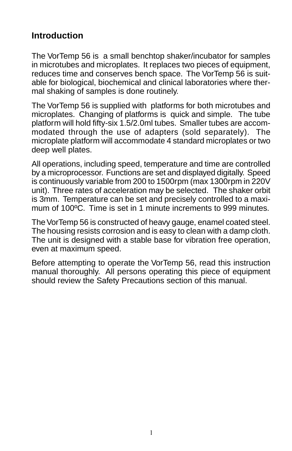# **Introduction**

The VorTemp 56 is a small benchtop shaker/incubator for samples in microtubes and microplates. It replaces two pieces of equipment, reduces time and conserves bench space. The VorTemp 56 is suitable for biological, biochemical and clinical laboratories where thermal shaking of samples is done routinely.

The VorTemp 56 is supplied with platforms for both microtubes and microplates. Changing of platforms is quick and simple. The tube platform will hold fifty-six 1.5/2.0ml tubes. Smaller tubes are accommodated through the use of adapters (sold separately). The microplate platform will accommodate 4 standard microplates or two deep well plates.

All operations, including speed, temperature and time are controlled by a microprocessor. Functions are set and displayed digitally. Speed is continuously variable from 200 to 1500rpm (max 1300rpm in 220V unit). Three rates of acceleration may be selected. The shaker orbit is 3mm. Temperature can be set and precisely controlled to a maximum of 100ºC. Time is set in 1 minute increments to 999 minutes.

The VorTemp 56 is constructed of heavy gauge, enamel coated steel. The housing resists corrosion and is easy to clean with a damp cloth. The unit is designed with a stable base for vibration free operation, even at maximum speed.

Before attempting to operate the VorTemp 56, read this instruction manual thoroughly. All persons operating this piece of equipment should review the Safety Precautions section of this manual.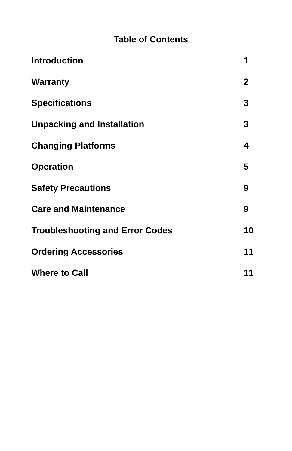# **Table of Contents**

| <b>Introduction</b>                    | 1            |
|----------------------------------------|--------------|
| <b>Warranty</b>                        | $\mathbf{2}$ |
| <b>Specifications</b>                  | 3            |
| <b>Unpacking and Installation</b>      | 3            |
| <b>Changing Platforms</b>              | 4            |
| <b>Operation</b>                       | 5            |
| <b>Safety Precautions</b>              | 9            |
| <b>Care and Maintenance</b>            | 9            |
| <b>Troubleshooting and Error Codes</b> | 10           |
| <b>Ordering Accessories</b>            | 11           |
| <b>Where to Call</b>                   | 11           |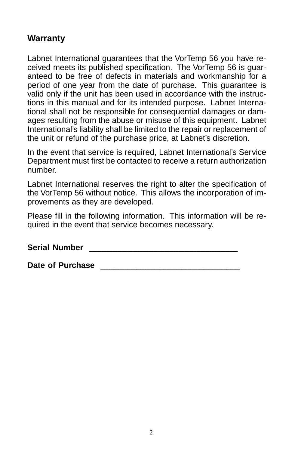## **Warranty**

Labnet International guarantees that the VorTemp 56 you have received meets its published specification. The VorTemp 56 is guaranteed to be free of defects in materials and workmanship for a period of one year from the date of purchase. This guarantee is valid only if the unit has been used in accordance with the instructions in this manual and for its intended purpose. Labnet International shall not be responsible for consequential damages or damages resulting from the abuse or misuse of this equipment. Labnet International's liability shall be limited to the repair or replacement of the unit or refund of the purchase price, at Labnet's discretion.

In the event that service is required, Labnet International's Service Department must first be contacted to receive a return authorization number.

Labnet International reserves the right to alter the specification of the VorTemp 56 without notice. This allows the incorporation of improvements as they are developed.

Please fill in the following information. This information will be required in the event that service becomes necessary.

**Serial Number Constanting the Series of Series and Series and Series and Series and Series and Series and Series and Series and Series and Series and Series and Series and Series and Series and Series and Series and Ser** 

**Date of Purchase Date of Purchase**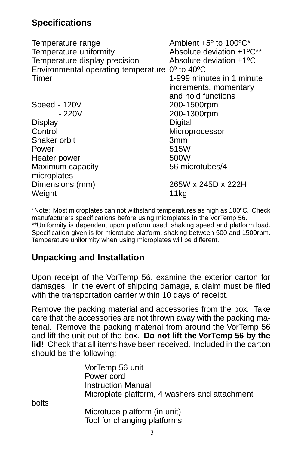# **Specifications**

Temperature range Temperature range Temperature uniformity Temperature uniformity Temperature display precision  $\qquad$  Absolute deviation  $\pm 1^{\circ}C$ Environmental operating temperature 0º to 40ºC Timer 1-999 minutes in 1 minute increments, momentary and hold functions Speed - 120V 200-1500rpm - 220V 200-1300rpm Display Digital Control Microprocessor Shaker orbit 3mm Power 515W Heater power 500W Maximum capacity 66 microtubes/4 microplates Dimensions (mm) 265W x 245D x 222H Weight 11kg

\*Note: Most microplates can not withstand temperatures as high as 100ºC. Check manufacturers specifications before using microplates in the VorTemp 56. \*\*Uniformity is dependent upon platform used, shaking speed and platform load. Specification given is for microtube platform, shaking between 500 and 1500rpm. Temperature uniformity when using microplates will be different.

## **Unpacking and Installation**

Upon receipt of the VorTemp 56, examine the exterior carton for damages. In the event of shipping damage, a claim must be filed with the transportation carrier within 10 days of receipt.

Remove the packing material and accessories from the box. Take care that the accessories are not thrown away with the packing material. Remove the packing material from around the VorTemp 56 and lift the unit out of the box. **Do not lift the VorTemp 56 by the lid!** Check that all items have been received. Included in the carton should be the following:

> VorTemp 56 unit Power cord Instruction Manual Microplate platform, 4 washers and attachment

bolts

Microtube platform (in unit) Tool for changing platforms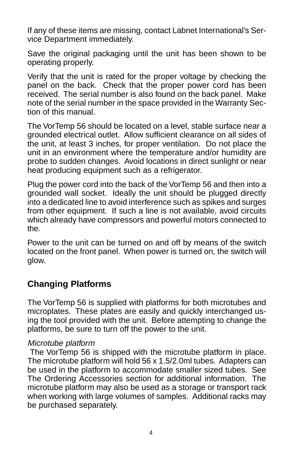If any of these items are missing, contact Labnet International's Service Department immediately.

Save the original packaging until the unit has been shown to be operating properly.

Verify that the unit is rated for the proper voltage by checking the panel on the back. Check that the proper power cord has been received. The serial number is also found on the back panel. Make note of the serial number in the space provided in the Warranty Section of this manual.

The VorTemp 56 should be located on a level, stable surface near a grounded electrical outlet. Allow sufficient clearance on all sides of the unit, at least 3 inches, for proper ventilation. Do not place the unit in an environment where the temperature and/or humidity are probe to sudden changes. Avoid locations in direct sunlight or near heat producing equipment such as a refrigerator.

Plug the power cord into the back of the VorTemp 56 and then into a grounded wall socket. Ideally the unit should be plugged directly into a dedicated line to avoid interference such as spikes and surges from other equipment. If such a line is not available, avoid circuits which already have compressors and powerful motors connected to the.

Power to the unit can be turned on and off by means of the switch located on the front panel. When power is turned on, the switch will glow.

## **Changing Platforms**

The VorTemp 56 is supplied with platforms for both microtubes and microplates. These plates are easily and quickly interchanged using the tool provided with the unit. Before attempting to change the platforms, be sure to turn off the power to the unit.

#### Microtube platform

 The VorTemp 56 is shipped with the microtube platform in place. The microtube platform will hold 56 x 1.5/2.0ml tubes. Adapters can be used in the platform to accommodate smaller sized tubes. See The Ordering Accessories section for additional information. The microtube platform may also be used as a storage or transport rack when working with large volumes of samples. Additional racks may be purchased separately.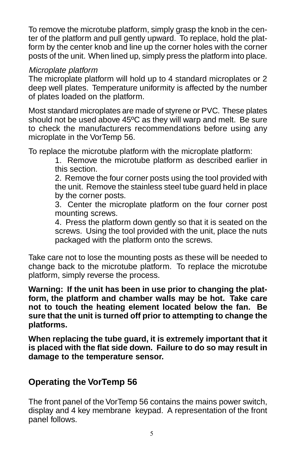To remove the microtube platform, simply grasp the knob in the center of the platform and pull gently upward. To replace, hold the platform by the center knob and line up the corner holes with the corner posts of the unit. When lined up, simply press the platform into place.

#### Microplate platform

The microplate platform will hold up to 4 standard microplates or 2 deep well plates. Temperature uniformity is affected by the number of plates loaded on the platform.

Most standard microplates are made of styrene or PVC. These plates should not be used above 45ºC as they will warp and melt. Be sure to check the manufacturers recommendations before using any microplate in the VorTemp 56.

To replace the microtube platform with the microplate platform:

1. Remove the microtube platform as described earlier in this section.

2. Remove the four corner posts using the tool provided with the unit. Remove the stainless steel tube guard held in place by the corner posts.

3. Center the microplate platform on the four corner post mounting screws.

4. Press the platform down gently so that it is seated on the screws. Using the tool provided with the unit, place the nuts packaged with the platform onto the screws.

Take care not to lose the mounting posts as these will be needed to change back to the microtube platform. To replace the microtube platform, simply reverse the process.

**Warning: If the unit has been in use prior to changing the platform, the platform and chamber walls may be hot. Take care not to touch the heating element located below the fan. Be sure that the unit is turned off prior to attempting to change the platforms.**

**When replacing the tube guard, it is extremely important that it is placed with the flat side down. Failure to do so may result in damage to the temperature sensor.**

## **Operating the VorTemp 56**

The front panel of the VorTemp 56 contains the mains power switch, display and 4 key membrane keypad. A representation of the front panel follows.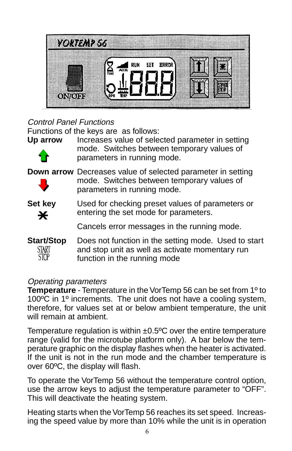

## Control Panel Functions

Functions of the keys are as follows:



**Up arrow** Increases value of selected parameter in setting mode. Switches between temporary values of parameters in running mode.

**Down arrow** Decreases value of selected parameter in setting mode. Switches between temporary values of parameters in running mode.



**Set key** Used for checking preset values of parameters or entering the set mode for parameters.

Cancels error messages in the running mode.

**Start/Stop** Does not function in the setting mode. Used to start START and stop unit as well as activate momentary run STOP. function in the running mode

#### Operating parameters

**Temperature** - Temperature in the VorTemp 56 can be set from 1º to 100ºC in 1º increments. The unit does not have a cooling system, therefore, for values set at or below ambient temperature, the unit will remain at ambient.

Temperature regulation is within  $\pm 0.5$ °C over the entire temperature range (valid for the microtube platform only). A bar below the temperature graphic on the display flashes when the heater is activated. If the unit is not in the run mode and the chamber temperature is over 60ºC, the display will flash.

To operate the VorTemp 56 without the temperature control option, use the arrow keys to adjust the temperature parameter to "OFF". This will deactivate the heating system.

Heating starts when the VorTemp 56 reaches its set speed. Increasing the speed value by more than 10% while the unit is in operation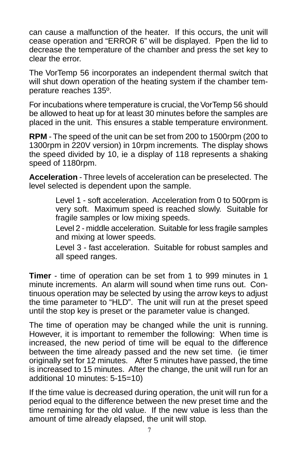can cause a malfunction of the heater. If this occurs, the unit will cease operation and "ERROR 6" will be displayed. Ppen the lid to decrease the temperature of the chamber and press the set key to clear the error.

The VorTemp 56 incorporates an independent thermal switch that will shut down operation of the heating system if the chamber temperature reaches 135º.

For incubations where temperature is crucial, the VorTemp 56 should be allowed to heat up for at least 30 minutes before the samples are placed in the unit. This ensures a stable temperature environment.

**RPM** - The speed of the unit can be set from 200 to 1500rpm (200 to 1300rpm in 220V version) in 10rpm increments. The display shows the speed divided by 10, ie a display of 118 represents a shaking speed of 1180rpm.

**Acceleration** - Three levels of acceleration can be preselected. The level selected is dependent upon the sample.

> Level 1 - soft acceleration. Acceleration from 0 to 500rpm is very soft. Maximum speed is reached slowly. Suitable for fragile samples or low mixing speeds.

> Level 2 - middle acceleration. Suitable for less fragile samples and mixing at lower speeds.

> Level 3 - fast acceleration. Suitable for robust samples and all speed ranges.

**Timer** - time of operation can be set from 1 to 999 minutes in 1 minute increments. An alarm will sound when time runs out. Continuous operation may be selected by using the arrow keys to adjust the time parameter to "HLD". The unit will run at the preset speed until the stop key is preset or the parameter value is changed.

The time of operation may be changed while the unit is running. However, it is important to remember the following: When time is increased, the new period of time will be equal to the difference between the time already passed and the new set time. (ie timer originally set for 12 minutes. After 5 minutes have passed, the time is increased to 15 minutes. After the change, the unit will run for an additional 10 minutes: 5-15=10)

If the time value is decreased during operation, the unit will run for a period equal to the difference between the new preset time and the time remaining for the old value. If the new value is less than the amount of time already elapsed, the unit will stop.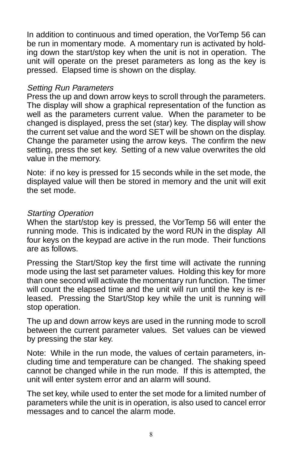In addition to continuous and timed operation, the VorTemp 56 can be run in momentary mode. A momentary run is activated by holding down the start/stop key when the unit is not in operation. The unit will operate on the preset parameters as long as the key is pressed. Elapsed time is shown on the display.

#### Setting Run Parameters

Press the up and down arrow keys to scroll through the parameters. The display will show a graphical representation of the function as well as the parameters current value. When the parameter to be changed is displayed, press the set (star) key. The display will show the current set value and the word SET will be shown on the display. Change the parameter using the arrow keys. The confirm the new setting, press the set key. Setting of a new value overwrites the old value in the memory.

Note: if no key is pressed for 15 seconds while in the set mode, the displayed value will then be stored in memory and the unit will exit the set mode.

#### Starting Operation

When the start/stop key is pressed, the VorTemp 56 will enter the running mode. This is indicated by the word RUN in the display All four keys on the keypad are active in the run mode. Their functions are as follows.

Pressing the Start/Stop key the first time will activate the running mode using the last set parameter values. Holding this key for more than one second will activate the momentary run function. The timer will count the elapsed time and the unit will run until the key is released. Pressing the Start/Stop key while the unit is running will stop operation.

The up and down arrow keys are used in the running mode to scroll between the current parameter values. Set values can be viewed by pressing the star key.

Note: While in the run mode, the values of certain parameters, including time and temperature can be changed. The shaking speed cannot be changed while in the run mode. If this is attempted, the unit will enter system error and an alarm will sound.

The set key, while used to enter the set mode for a limited number of parameters while the unit is in operation, is also used to cancel error messages and to cancel the alarm mode.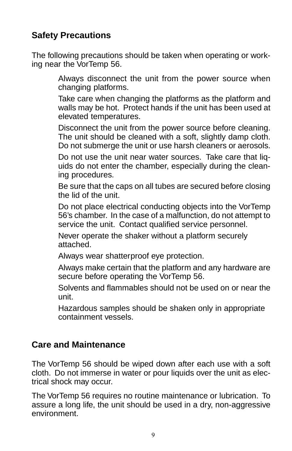# **Safety Precautions**

The following precautions should be taken when operating or working near the VorTemp 56.

> Always disconnect the unit from the power source when changing platforms.

> Take care when changing the platforms as the platform and walls may be hot. Protect hands if the unit has been used at elevated temperatures.

> Disconnect the unit from the power source before cleaning. The unit should be cleaned with a soft, slightly damp cloth. Do not submerge the unit or use harsh cleaners or aerosols.

> Do not use the unit near water sources. Take care that liquids do not enter the chamber, especially during the cleaning procedures.

> Be sure that the caps on all tubes are secured before closing the lid of the unit.

> Do not place electrical conducting objects into the VorTemp 56's chamber. In the case of a malfunction, do not attempt to service the unit. Contact qualified service personnel.

Never operate the shaker without a platform securely attached.

Always wear shatterproof eye protection.

Always make certain that the platform and any hardware are secure before operating the VorTemp 56.

Solvents and flammables should not be used on or near the unit.

Hazardous samples should be shaken only in appropriate containment vessels.

## **Care and Maintenance**

The VorTemp 56 should be wiped down after each use with a soft cloth. Do not immerse in water or pour liquids over the unit as electrical shock may occur.

The VorTemp 56 requires no routine maintenance or lubrication. To assure a long life, the unit should be used in a dry, non-aggressive environment.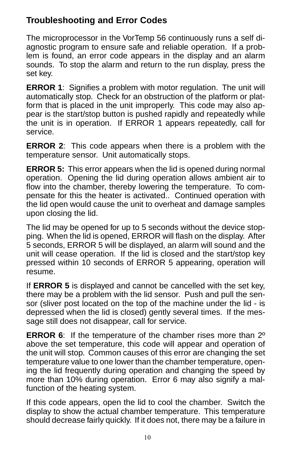# **Troubleshooting and Error Codes**

The microprocessor in the VorTemp 56 continuously runs a self diagnostic program to ensure safe and reliable operation. If a problem is found, an error code appears in the display and an alarm sounds. To stop the alarm and return to the run display, press the set key.

**ERROR 1**: Signifies a problem with motor regulation. The unit will automatically stop. Check for an obstruction of the platform or platform that is placed in the unit improperly. This code may also appear is the start/stop button is pushed rapidly and repeatedly while the unit is in operation. If ERROR 1 appears repeatedly, call for service.

**ERROR 2**: This code appears when there is a problem with the temperature sensor. Unit automatically stops.

**ERROR 5:** This error appears when the lid is opened during normal operation. Opening the lid during operation allows ambient air to flow into the chamber, thereby lowering the temperature. To compensate for this the heater is activated.. Continued operation with the lid open would cause the unit to overheat and damage samples upon closing the lid.

The lid may be opened for up to 5 seconds without the device stopping. When the lid is opened, ERROR will flash on the display. After 5 seconds, ERROR 5 will be displayed, an alarm will sound and the unit will cease operation. If the lid is closed and the start/stop key pressed within 10 seconds of ERROR 5 appearing, operation will resume.

If **ERROR 5** is displayed and cannot be cancelled with the set key, there may be a problem with the lid sensor. Push and pull the sensor (sliver post located on the top of the machine under the lid - is depressed when the lid is closed) gently several times. If the message still does not disappear, call for service.

**ERROR 6**: If the temperature of the chamber rises more than 2º above the set temperature, this code will appear and operation of the unit will stop. Common causes of this error are changing the set temperature value to one lower than the chamber temperature, opening the lid frequently during operation and changing the speed by more than 10% during operation. Error 6 may also signify a malfunction of the heating system.

If this code appears, open the lid to cool the chamber. Switch the display to show the actual chamber temperature. This temperature should decrease fairly quickly. If it does not, there may be a failure in